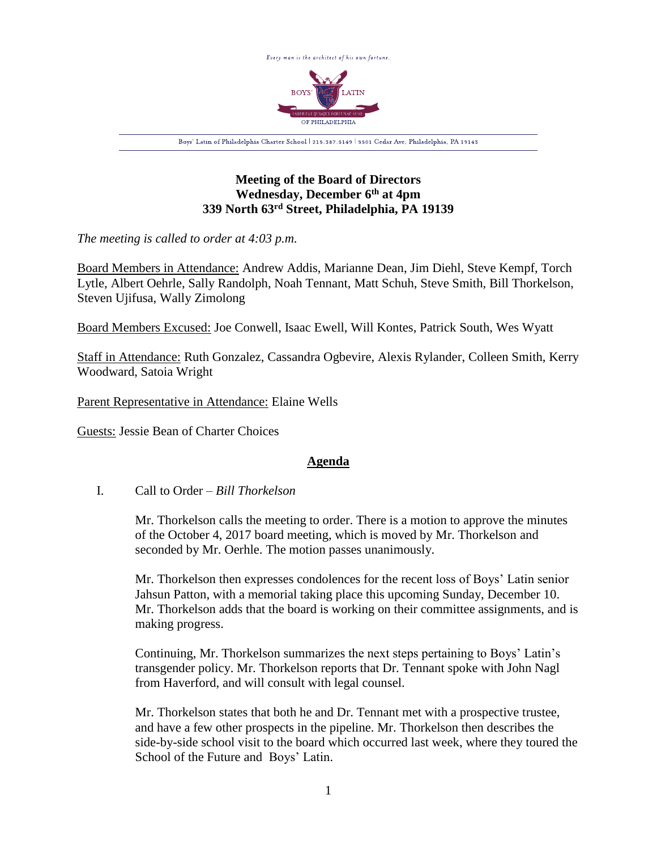

## **Meeting of the Board of Directors Wednesday, December 6th at 4pm 339 North 63rd Street, Philadelphia, PA 19139**

*The meeting is called to order at 4:03 p.m.*

Board Members in Attendance: Andrew Addis, Marianne Dean, Jim Diehl, Steve Kempf, Torch Lytle, Albert Oehrle, Sally Randolph, Noah Tennant, Matt Schuh, Steve Smith, Bill Thorkelson, Steven Ujifusa, Wally Zimolong

Board Members Excused: Joe Conwell, Isaac Ewell, Will Kontes, Patrick South, Wes Wyatt

Staff in Attendance: Ruth Gonzalez, Cassandra Ogbevire, Alexis Rylander, Colleen Smith, Kerry Woodward, Satoia Wright

Parent Representative in Attendance: Elaine Wells

Guests: Jessie Bean of Charter Choices

## **Agenda**

I. Call to Order – *Bill Thorkelson*

Mr. Thorkelson calls the meeting to order. There is a motion to approve the minutes of the October 4, 2017 board meeting, which is moved by Mr. Thorkelson and seconded by Mr. Oerhle. The motion passes unanimously.

Mr. Thorkelson then expresses condolences for the recent loss of Boys' Latin senior Jahsun Patton, with a memorial taking place this upcoming Sunday, December 10. Mr. Thorkelson adds that the board is working on their committee assignments, and is making progress.

Continuing, Mr. Thorkelson summarizes the next steps pertaining to Boys' Latin's transgender policy. Mr. Thorkelson reports that Dr. Tennant spoke with John Nagl from Haverford, and will consult with legal counsel.

Mr. Thorkelson states that both he and Dr. Tennant met with a prospective trustee, and have a few other prospects in the pipeline. Mr. Thorkelson then describes the side-by-side school visit to the board which occurred last week, where they toured the School of the Future and Boys' Latin.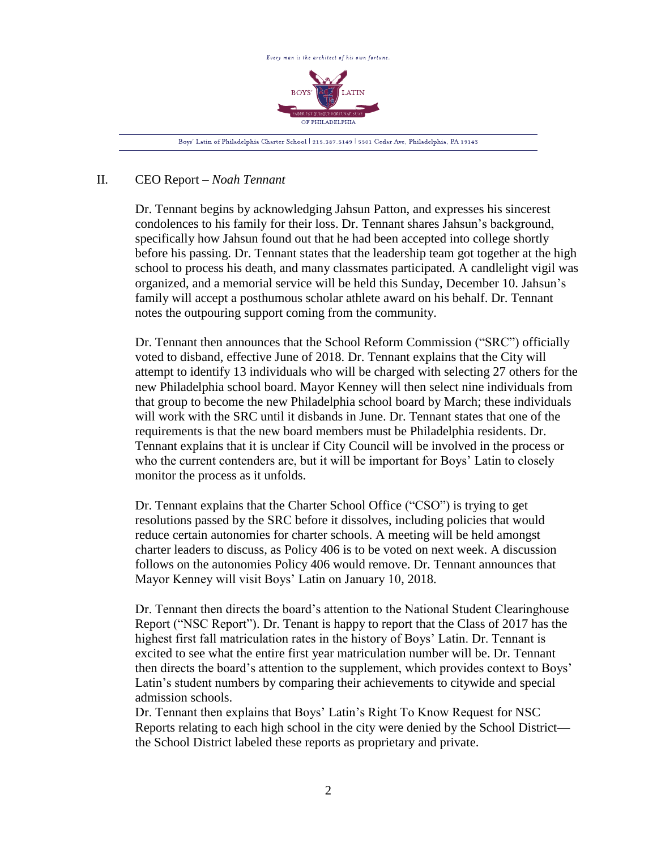

## II. CEO Report – *Noah Tennant*

Dr. Tennant begins by acknowledging Jahsun Patton, and expresses his sincerest condolences to his family for their loss. Dr. Tennant shares Jahsun's background, specifically how Jahsun found out that he had been accepted into college shortly before his passing. Dr. Tennant states that the leadership team got together at the high school to process his death, and many classmates participated. A candlelight vigil was organized, and a memorial service will be held this Sunday, December 10. Jahsun's family will accept a posthumous scholar athlete award on his behalf. Dr. Tennant notes the outpouring support coming from the community.

Dr. Tennant then announces that the School Reform Commission ("SRC") officially voted to disband, effective June of 2018. Dr. Tennant explains that the City will attempt to identify 13 individuals who will be charged with selecting 27 others for the new Philadelphia school board. Mayor Kenney will then select nine individuals from that group to become the new Philadelphia school board by March; these individuals will work with the SRC until it disbands in June. Dr. Tennant states that one of the requirements is that the new board members must be Philadelphia residents. Dr. Tennant explains that it is unclear if City Council will be involved in the process or who the current contenders are, but it will be important for Boys' Latin to closely monitor the process as it unfolds.

Dr. Tennant explains that the Charter School Office ("CSO") is trying to get resolutions passed by the SRC before it dissolves, including policies that would reduce certain autonomies for charter schools. A meeting will be held amongst charter leaders to discuss, as Policy 406 is to be voted on next week. A discussion follows on the autonomies Policy 406 would remove. Dr. Tennant announces that Mayor Kenney will visit Boys' Latin on January 10, 2018.

Dr. Tennant then directs the board's attention to the National Student Clearinghouse Report ("NSC Report"). Dr. Tenant is happy to report that the Class of 2017 has the highest first fall matriculation rates in the history of Boys' Latin. Dr. Tennant is excited to see what the entire first year matriculation number will be. Dr. Tennant then directs the board's attention to the supplement, which provides context to Boys' Latin's student numbers by comparing their achievements to citywide and special admission schools.

Dr. Tennant then explains that Boys' Latin's Right To Know Request for NSC Reports relating to each high school in the city were denied by the School District the School District labeled these reports as proprietary and private.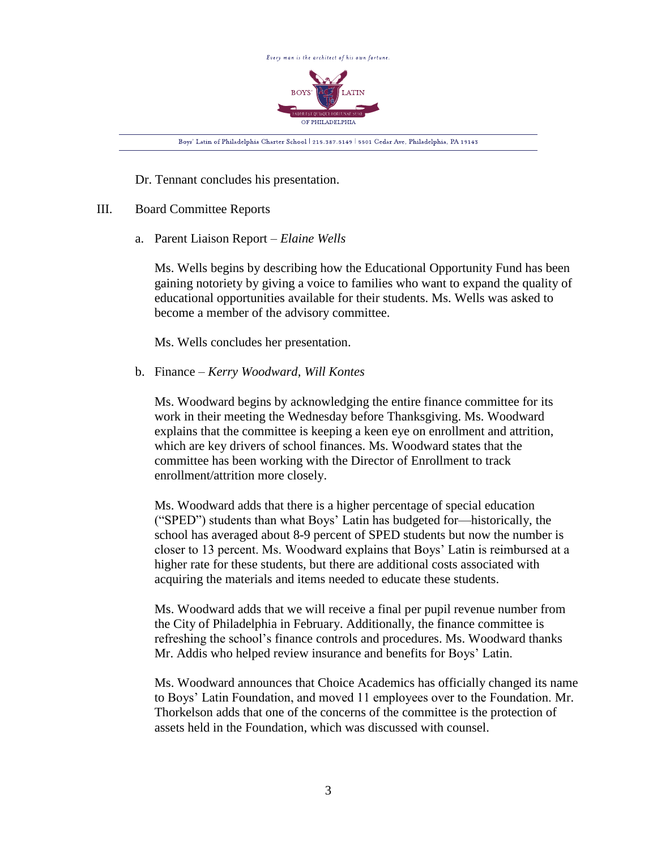

Dr. Tennant concludes his presentation.

## III. Board Committee Reports

a. Parent Liaison Report – *Elaine Wells*

Ms. Wells begins by describing how the Educational Opportunity Fund has been gaining notoriety by giving a voice to families who want to expand the quality of educational opportunities available for their students. Ms. Wells was asked to become a member of the advisory committee.

Ms. Wells concludes her presentation.

b. Finance – *Kerry Woodward, Will Kontes*

Ms. Woodward begins by acknowledging the entire finance committee for its work in their meeting the Wednesday before Thanksgiving. Ms. Woodward explains that the committee is keeping a keen eye on enrollment and attrition, which are key drivers of school finances. Ms. Woodward states that the committee has been working with the Director of Enrollment to track enrollment/attrition more closely.

Ms. Woodward adds that there is a higher percentage of special education ("SPED") students than what Boys' Latin has budgeted for—historically, the school has averaged about 8-9 percent of SPED students but now the number is closer to 13 percent. Ms. Woodward explains that Boys' Latin is reimbursed at a higher rate for these students, but there are additional costs associated with acquiring the materials and items needed to educate these students.

Ms. Woodward adds that we will receive a final per pupil revenue number from the City of Philadelphia in February. Additionally, the finance committee is refreshing the school's finance controls and procedures. Ms. Woodward thanks Mr. Addis who helped review insurance and benefits for Boys' Latin.

Ms. Woodward announces that Choice Academics has officially changed its name to Boys' Latin Foundation, and moved 11 employees over to the Foundation. Mr. Thorkelson adds that one of the concerns of the committee is the protection of assets held in the Foundation, which was discussed with counsel.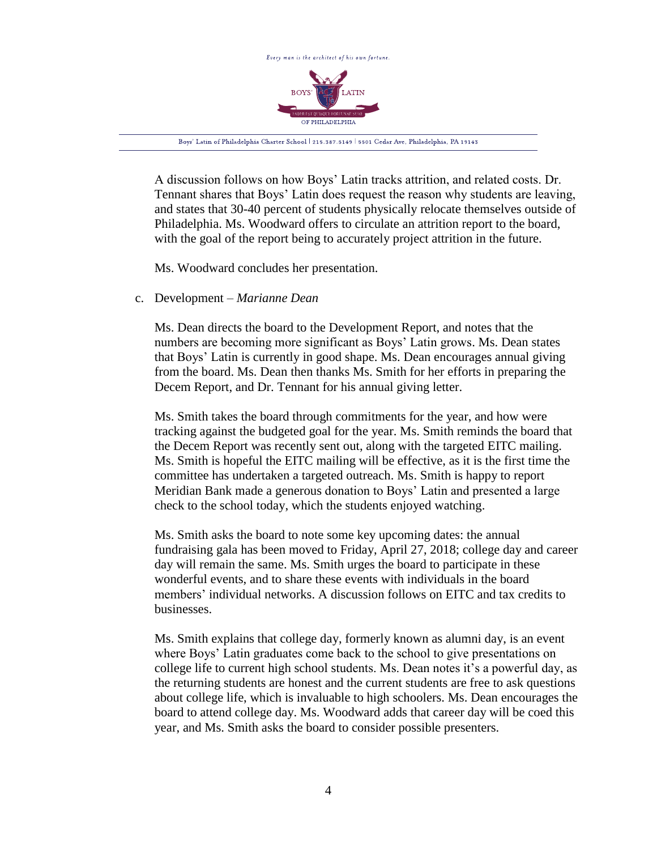

A discussion follows on how Boys' Latin tracks attrition, and related costs. Dr. Tennant shares that Boys' Latin does request the reason why students are leaving, and states that 30-40 percent of students physically relocate themselves outside of Philadelphia. Ms. Woodward offers to circulate an attrition report to the board, with the goal of the report being to accurately project attrition in the future.

Ms. Woodward concludes her presentation.

c. Development – *Marianne Dean*

Ms. Dean directs the board to the Development Report, and notes that the numbers are becoming more significant as Boys' Latin grows. Ms. Dean states that Boys' Latin is currently in good shape. Ms. Dean encourages annual giving from the board. Ms. Dean then thanks Ms. Smith for her efforts in preparing the Decem Report, and Dr. Tennant for his annual giving letter.

Ms. Smith takes the board through commitments for the year, and how were tracking against the budgeted goal for the year. Ms. Smith reminds the board that the Decem Report was recently sent out, along with the targeted EITC mailing. Ms. Smith is hopeful the EITC mailing will be effective, as it is the first time the committee has undertaken a targeted outreach. Ms. Smith is happy to report Meridian Bank made a generous donation to Boys' Latin and presented a large check to the school today, which the students enjoyed watching.

Ms. Smith asks the board to note some key upcoming dates: the annual fundraising gala has been moved to Friday, April 27, 2018; college day and career day will remain the same. Ms. Smith urges the board to participate in these wonderful events, and to share these events with individuals in the board members' individual networks. A discussion follows on EITC and tax credits to businesses.

Ms. Smith explains that college day, formerly known as alumni day, is an event where Boys' Latin graduates come back to the school to give presentations on college life to current high school students. Ms. Dean notes it's a powerful day, as the returning students are honest and the current students are free to ask questions about college life, which is invaluable to high schoolers. Ms. Dean encourages the board to attend college day. Ms. Woodward adds that career day will be coed this year, and Ms. Smith asks the board to consider possible presenters.